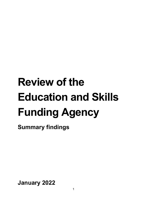# **Review of the Education and Skills Funding Agency**

**Summary findings**

**January 2022**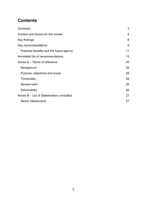## **Contents**

| 3              |
|----------------|
| $\overline{4}$ |
| 6              |
| 9              |
| 11             |
| 13             |
| 26             |
| 26             |
| 26             |
| 26             |
| 26             |
| 26             |
| 27             |
| 27             |
|                |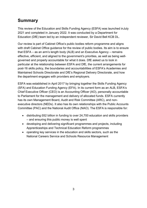# <span id="page-2-0"></span>**Summary**

This review of the Education and Skills Funding Agency (ESFA) was launched inJuly 2021 and completed in January 2022. It was conducted by a Department for Education (DfE) team led by an independent reviewer, Sir David Bell KCB DL.

Our review is part of Cabinet Office's public bodies reform programme and aligns with draft Cabinet Office guidance for the review of public bodies. Its aim is to ensure that ESFA – as an arm's length body (ALB) and an Executive Agency – remains effective, efficient, and aligned to the government's priorities, as well as being wellgoverned and properly accountable for what it does. DfE asked us to look in particular at the relationship between ESFA and DfE, the current arrangements for post-16 skills policy, the boundaries and accountabilities of ESFA's Academies and Maintained Schools Directorate and DfE's Regional Delivery Directorate, and how the department engages with providers and employers.

ESFA was established in April 2017 by bringing together the Skills Funding Agency (SFA) and Education Funding Agency (EFA). In its current form as an ALB, ESFA's Chief Executive Officer (CEO) is an Accounting Officer (AO), personally accountable to Parliament for the management and delivery of allocated funds. ESFA currently has its own Management Board, Audit and Risk Committee (ARC), and nonexecutive directors (NEDs). It also has its own relationships with the Public Accounts Committee (PAC) and the National Audit Office (NAO). The ESFA is responsible for:

- distributing £62 billion in funding to over 24,700 education and skills providers – and ensuring this public money is well spent
- developing and delivering significant programmes and projects, including Apprenticeships and Technical Education Reform programmes
- operating key services in the education and skills sectors, such as the National Careers Service and Schools Resource Management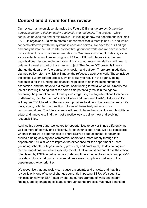#### <span id="page-3-0"></span>**Context and drivers for this review**

Our review has taken place alongside the Future DfE change project *Organising ourselves better to deliver locally, regionally and nationally*. The project – which continues beyond the end of this review – is looking at how the department, including ESFA, is organised. It aims to create a department that is more joined up, and which connects effectively with the systems it leads and serves. We have fed our findings and analysis into the Future DfE project throughout our work, and we have reflected its direction of travel in our recommendations. We have also sought to define, as far as possible, how functions moving from ESFA to DfE will integrate into the new organisational design. Implementation of many of our recommendations will need to betaken forward as part of this change project. The Future DfE project is likely to change the department's organisational design and outlook. There are, in addition, planned policy reforms which will impact the refocused agency's work. These include the school system reform process, which is likely to result in the agency being responsible for the funding and financial regulation of an increasing number of academies, and the move to a direct national funding formula which will simplify the job of allocating funding but at the same time potentially result in the agency becoming the point of contact for all queries regarding funding allocations forschools. Furthermore, the *Skills for Jobs* White Paper and Skills and Post-16 Education Bill will require ESFA to adjust the services it provides to align to the reform agenda. We have, again, reflected the direction of travel of these likely reforms in our recommendations. The future agency will need to have the capability and flexibility to adapt and innovate to find the most effective way to deliver new and evolving responsibilities.

Against this background, we looked for opportunities to deliver things differently, as well as more effectively and efficiently, for each functional area. We also considered whether there were opportunities to share ESFA's deep expertise, for example around funding delivery and commercial operations, more widely through the department. Our aim was to improve the experience for the department's users (including schools, colleges, training providers, and employers). In developing our recommendations, we were especially mindful that we must not put at risk the critical role played by ESFA in delivering accurate and timely funding to schools and post-16 providers. Nor should our recommendations cause disruption to delivery of the department's wider priorities.

We recognise that any review can cause uncertainty and anxiety, and that this review is only one of several changes currently impacting ESFA. We sought to minimise anxiety for ESFA staff by sharing our programme of work and interim findings, and by engaging colleagues throughout the process. We have benefitted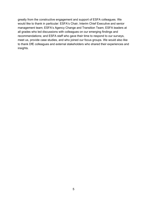greatly from the constructive engagement and support of ESFA colleagues. We would like to thank in particular: ESFA's Chair, Interim Chief Executive and senior management team; ESFA's Agency Change and Transition Team; ESFA leaders at all grades who led discussions with colleagues on our emerging findings and recommendations; and ESFA staff who gave their time to respond to our surveys, meet us, provide case studies, and who joined our focus groups. We would also like to thank DfE colleagues and external stakeholders who shared their experiences and insights.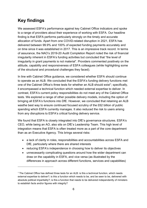## <span id="page-5-0"></span>**Key findings**

We assessed ESFA's performance against key Cabinet Office indicators and spoke to a range of providers about their experience of working with ESFA. Our headline finding is that ESFA performs particularly strongly on the timely and accurate allocation of funds. Apart from one COVID-related disruption in 2021, ESFA has delivered between 99.9% and 100% of expected funding payments accurately and on time since it was established in 2017. This is an impressive track record. In terms of assurance, the NAO's 2019-20 Audit Completion Report noted the risk of financial irregularity inherent in ESFA's funding activities but concluded that "the level of irregularity in grant payments is not material". Providers commented positively on the attitude, capability and responsiveness of ESFA colleagues (while highlighting some of the structural and procedural challenges they faced).

In line with Cabinet Office guidance, we considered whether ESFA should continue to operate as an ALB. We concluded that the ESFA's funding delivery functions met one of the Cabinet Office's three tests for whether an ALB should exist<sup>1</sup>; specifically, it encompassed a technical function which needed external expertise to deliver. In contrast, ESFA's current policy responsibilities do not meet any of the Cabinet Office tests. We explored a range of other possible delivery models, including the option of bringing all ESFA's functions into DfE. However, we concluded that retaining an ALB wasthe best way to ensure continued focused scrutiny of the £62 billion of public spending which ESFA currently manages. It also reduced the risk to users arising from any disruptions to ESFA's critical funding delivery service.

We found that ESFA is closely integrated into DfE's governance structures. ESFA's CEO, while being an AO, also sits on DfE's Leadership Team. This high level of integration means that ESFA is often treated more as a part of the core department than as an Executive Agency. This brings several risks:

- a lack of clarity in roles, responsibilities and accountabilities across ESFA and DfE, particularly where there are shared interests
- reducing ESFA's independence in choosing how to deliver its objectives
- unnecessarily complicating questions around how the wider department can draw on the capability in ESFA, and vice versa (as illustrated by the differences in approach across different functions, services and capabilities)

<sup>1</sup> The Cabinet Office has defined three tests for an ALB: is this a technical function, which needs external expertise to deliver?; is this a function which needs to be, and be seen to be, delivered with absolute political impartiality?; is this a function that needs to be delivered independently of ministers to establish facts and/or figures with integrity?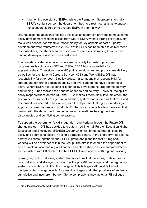• fragmenting oversight of ESFA. While the Permanent Secretary is formally ESFA's senior sponsor, the department has no direct mechanisms to support the sponsorship role or to oversee ESFA in a formal way.

DfE has used the additional flexibility this level of integration provides to move some policy development responsibilities from DfE to ESFA when a strong policy delivery focus was needed (for example, responsibility for key aspects of post-16 policy development were transferred in 2018). While ESFA has been able to deliver these responsibilities, the sheer breadth of its current role risks distracting from its core funding delivery role and confuses customers.

That transfer created a situation where responsibility for post-16 policy and programmes is split across DfE and ESFA. ESFA has responsibility for apprenticeships, T Level and Level 4/5 policy development and programme delivery, as well as for the National Careers Service (NCS) and WorldSkills. DfE has responsibility for other post-16 policy areas. It also means that responsibility for careers and for further education quality and oversight do not have a clear focal point. Where ESFA has responsibility for policy development, programme delivery and funding, it has realised the benefits of end-to-end delivery. However, the split of policy responsibilities across DfE and ESFA makes it more difficult to implement the government's skills reform agenda. In addition, system leaders told us that roles and responsibilities needed to be clarified, with the department taking a more strategic approach across policies and products. Furthermore, college leaders have said that dealing with the department can be confusing, sometimes having multiple disconnected and conflicting conversations.

To support the government's skills agenda – and working through the Future DfE change project – DfE has decided to create a new internal 'Further Education Higher Education and Employers' (FEHEE) Group<sup>2</sup> which will bring together all post-16 policy and operational policy in a single strategic centre. In the short term, all post-16 activity will come together in the FEHEE group and plans for post-16 regional working will be developed within the Group. The aim is to enable the department to be an excellent local and regional partner and place-shaper. Our recommendations are consistent with DfE's intent for the FEHEE Group and post-16 regional working.

Looking beyond ESFA itself, system leaders told us that there has, to date, been a lack of distinct and strategic focus across the post-16 landscape, and the regulatory system is complex and difficult to navigate. This is largely attributable to having multiple bodes to engage with. As a result, colleges and other providers often feel a cumulative and incoherent burden. Some complexity is inevitable, as FE colleges

<sup>&</sup>lt;sup>2</sup> This is the department's working title for the Group, and is subject to change.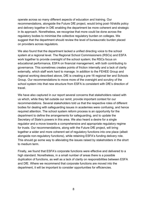operate across so many different aspects of education and training. Our recommendations, alongside the Future DfE project, would bring post-16/skills policy and delivery together in DfE enabling the department be more coherent and strategic in its approach. Nonetheless, we recognise that more could be done across the regulatory bodies to minimise the collective regulatory burden on colleges. We suggest that the department should review the level of bureaucratic burden placed on providers across regulators.

We also found that the department lacked a unified directing voice to the school system at a regional level. The Regional School Commissioners (RSCs) and ESFA work together to provide oversight of the school system; the RSCs focus on educational performance, ESFA on financial management, with both contributing to governance. This sometimes creates points of friction internally and a lack of clarity externally, which staff work hard to manage. In addition to the FEHEE Group and regional working described above, DfE is creating a pre-16 regional tier and Schools Group. Our recommendations to move more of the oversight and scrutiny of the school system into that new structure from ESFA is consistent with DfE's direction of travel.

We have also captured in our report several concerns that stakeholders raised with us which, while they fall outside our remit, provide important context for our recommendations. Several stakeholders told us that the respective roles of different bodies for dealing with safeguarding issues in academies were confusing, and hence required attention. The school system reform process is an opportunity for the department to define the arrangements for safeguarding, and to update the Secretary of State's powers in this area. We also heard a desire for a single regulator and a move towards a comprehensive and appropriate regulatory regime for trusts. Our recommendations, along with the Future DfE project, will bring together a wider and more coherent set of regulatory functions into one place (albeit alongside non-regulatory functions), while retaining ESFA's funding delivery role. This should go some way to alleviating the issues raised by stakeholders in the short to medium term.

Finally, we found that ESFA's corporate functions were effective and delivered to a high standard. Nonetheless, in a small number of areas there is a possible duplication of functions, as well as a lack of clarity on responsibilities between ESFA and DfE. Where we recommend that corporate functions are moved into the department, it will be important to consider opportunities for efficiencies.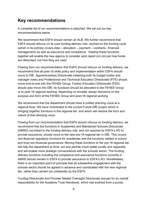### <span id="page-8-0"></span>**Key recommendations**

A complete list of our recommendations is attached. We set out our key recommendations below.

We recommend that FSFA should remain an ALB. We further recommend that ESFA should refocus on its core funding delivery role, centred on the funding cycle (which in its entirety covers data – allocation – payment – contracts –financial management) as well as assurance and compliance. Holding these functions together will enable the new agency to consider (and report on) not just how funds are disbursed, but how they are used.

Flowing from our recommendation that ESFA should refocus on funding delivery, we recommend that all post-16 skills policy and implementation within ESFA should move to DfE. Apprenticeships Directorate (retaining both its budget holder and manager roles) and Professional and Technical Education Directorate (PTE) should move end-to-end into the FEHEE Group. Further Education Directorate (FED) should also move into DfE; its functions should be allocated to the FEHEE Group or to post-16 regional working, depending on broader design decisions on the purpose and form of the FEHEE Group and post-16 regional working.

We recommend that the department should have a unified directing voice at a regional level. We have contributed to the current Future DfE project which is bringing together functions in the regional tier, and which will resolve the form and nature of that directing voice.

Flowing from our recommendation that ESFA should refocus on funding delivery, we recommend that the functions in Academies and Maintained Schools Directorate (AMSD) not linked to the funding delivery role, and not required by ESFA's AO to provide assurance, should move to the new pre-16 regional tier in DfE. This covers non-financial regulatory functions for academies and the functions related to school and trust non-financial governance. Moving these functions to the pre-16 regional tier will help the department to think, act and partner much better locally and regionally and will enable more strategic conversations with the schools sector. The funding delivery functions including the compliance and assurance functions currently in AMSD should remain in ESFA to provide assurance to ESFA's AO. Nonetheless, there is an important point of principle that all substantive engagement with the schools sector should be agreed in advance and coordinated with the new regional tier, rather than carried out unilaterally by the ESFA.

Funding Directorate and Provider Market Oversight Directorate (except for its overall responsibility for the Academy Trust Handbook, which has evolved from a purely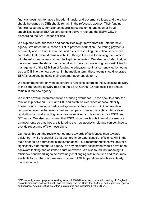financial document to have a broader financial and governance focus and therefore should be owned by DfE) should remain in the refocused agency. Their funding, financial assurance, compliance, specialist restructuring, and counter fraud capabilities support ESFA's core funding delivery role and the ESFA CEO in discharging their AO responsibilities.

We explored what functions and capabilities might move from DfE into the new agency. We noted the success of DfE's payment's function<sup>3</sup>, delivering payments accurately and on time. Given this, and risks of disrupting this critical service, we concluded that it should remain with DfE, though the case for moving the function into the refocused agency should be kept under review. We also concluded that, in the longer term, the department should work towards transferring responsibilities for management of the £8 billion of funding to education settings currently led by teams across DfE into the new agency. In the medium term, those teams should leverage ESFA's expertise by using their grant management platform.

We recommend that only those corporate functions central to the successful delivery of the core funding delivery role and the ESFA CEO's AO responsibilities should remain in the new agency.

We make several recommendations around governance. These seek to clarify the relationship between ESFA and DfE and establish clear lines of accountability. These include creating a dedicated sponsorship function for ESFA to provide a comprehensive mechanism for overarching performance oversight, collaborative reprioritisation, and enabling collaborative working and learning across ESFA and DfE teams. We also recommend that ESFA should review its internal governance arrangements so that they are tailored to the new agency's role and can continue to provide robust and efficient oversight.

Our focus through the review leaned more towards effectiveness than towards efficiency – while recognising that both are important. Issues of efficiency will in the main need to be addressed in implementation – our recommendations will deliver a significantly different future agency, so any efficiency assessment would have been backward looking and of limited future relevance. We also found that meaningful efficiency benchmarking to be extremely challenging within the time and resources available to us. That said, we saw no area of ESFA operations which was clearly over-resourced.

<sup>3</sup> DfE currently makes payments totalling around £100 billion a year to education settings in England, sector bodies such as the Student Loan Company and the Office for Students, and suppliers of goods and services. Around £60 billion of this is calculated and instructed by the ESFA.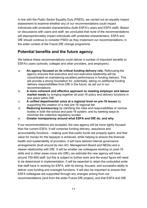In line with the Public Sector Equality Duty (PSED), we carried out an equality impact assessment to examine whether any of our recommendations could impact individuals with protected characteristics (both ESFA's users and ESFA staff). Based on discussions with users and staff, we concluded that none of the recommendations will disproportionately impact individuals with protected characteristics. ESFA and DfE should continue to consider PSED as they implement our recommendations, in the wider context of the Future DfE change programme.

#### <span id="page-10-0"></span>**Potential benefits and the future agency**

We believe these recommendations could deliver a number of important benefits to ESFA's users (schools, colleges and other providers, and employers):

- a. **An agency focused on its critical funding delivery role.** Refocusing the agency ensures that executive and non-executive leadership will be concentrated on maintaining excellent performance in funding delivery. This will provide a strong foundation for, potentially, taking on additional funding delivery responsibilities from DfE in the future, as set out in our recommendations
- b. **A more coherent and effective approach to meeting employer and labour market needs** by bringing together all post-16 policy and delivery functions in one place within DfE
- c. **A unified departmental voice at a regional level on pre-16 issues** by supporting the creation of a new pre-16 regional tier
- d. **Reducing bureaucracy** by clarifying the roles and responsibilities of various bodies in both the school and post-16 system, and by seeking ways to minimise the collective regulatory burden
- e. **Greater transparency around what ESFA and DfE do, and why**

If our recommendations are accepted, the new agency will be more tightly focused than the current ESFA. It will comprise funding delivery, assurance and accountability functions – making sure that public funds are properly spent, and that value for money for the taxpayer is achieved, while helping to ensure the financial health and sustainability of providers. It will have tailored internal governance arrangements (built around its own AO, Management Board and NEDs) and a clearer relationship with DfE. It will be smaller (as colleagues working on post-16 skills and in other areas move into DfE); we estimate the new agency will have around 750-800 staff, but this is subject to further work and the exact figure will need to be determined in implementation. It will be essential to retain the undoubted pride that staff have in working for ESFA, with its strong, focused, and successful ability to deliver core funding and oversight functions. It will also be important to ensure that ESFA colleagues are supported through any changes arising from our recommendations (and from the wider Future DfE project), and that ESFA and DfE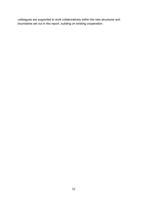colleagues are supported to work collaboratively within the new structures and boundaries set out in this report, building on existing cooperation.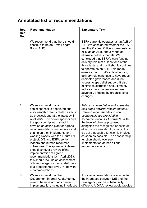# <span id="page-12-0"></span>**Annotated list of recommendations**

| Rec.<br>Ref.<br>No. | Recommendation                                                                                                                                                                                                                                                                                                                                                                                                                                                                                                                                                                                                                                                                                          | <b>Explanatory Text</b>                                                                                                                                                                                                                                                                                                                                                                                                                                                                                                                                                                                                                                |
|---------------------|---------------------------------------------------------------------------------------------------------------------------------------------------------------------------------------------------------------------------------------------------------------------------------------------------------------------------------------------------------------------------------------------------------------------------------------------------------------------------------------------------------------------------------------------------------------------------------------------------------------------------------------------------------------------------------------------------------|--------------------------------------------------------------------------------------------------------------------------------------------------------------------------------------------------------------------------------------------------------------------------------------------------------------------------------------------------------------------------------------------------------------------------------------------------------------------------------------------------------------------------------------------------------------------------------------------------------------------------------------------------------|
| 1                   | We recommend that there should<br>continue to be an Arms Length<br>Body (ALB).                                                                                                                                                                                                                                                                                                                                                                                                                                                                                                                                                                                                                          | ESFA currently operates as an ALB of<br>DfE. We considered whether the ESFA<br>met the Cabinet Office's three tests to<br>exist as an ALB, and a range of<br>alternate delivery models. We<br>concluded that ESFA's core funding<br>delivery role met at least one of the<br>three tests, and that it should continue<br>to operate as an ALB. This model<br>ensures that ESFA's critical funding<br>delivery role continues to have robust<br>dedicated governance and direct<br>access to specialist support. It also<br>minimises disruption and ultimately<br>reduces risks that end-users are<br>adversely affected by organisational<br>changes. |
| $\overline{2}$      | We recommend that a<br>senior sponsor is appointed and<br>a sponsorship team created as soon<br>as practical, and at the latest by 1<br>April 2022. The senior sponsor and<br>the sponsorship team should<br>develop an action plan for agreed<br>recommendations and monitor and<br>champion their implementation,<br>working closely with the Future DfE<br>project, DfE and ESFA senior<br>leaders and human resources<br>colleagues. The sponsorship team<br>should conduct a review of the<br>implementation of agreed<br>recommendations by 1 April 2023:<br>this should include an assessment<br>of how the agency has scaled back<br>to a proportionate level, in line with<br>recommendations. | This recommendation addresses the<br>next steps towards implementation.<br>Detailed recommendations on<br>sponsorship are provided in<br>recommendations 41 onwards. With<br>the level of change proposed,<br>alongside the recognised benefits of<br>effective sponsorship functions, it is<br>crucial that such a function is in place<br>as soon as possible. The sponsorship<br>function should oversee<br>implementation across all our<br>recommendations.                                                                                                                                                                                       |
| 3                   | We recommend that the<br>Government Internal Audit Agency<br>review the risks around change<br>implementation, including interfaces                                                                                                                                                                                                                                                                                                                                                                                                                                                                                                                                                                     | If our recommendations are accepted,<br>the interfaces between DfE and the<br>new agency will be substantially<br>different. A GIAA review would provide                                                                                                                                                                                                                                                                                                                                                                                                                                                                                               |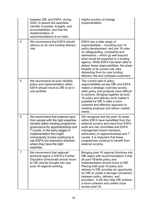|                | between DfE and ESFA, during<br>2022, to assure the seamless<br>transfer of people, budgets, and<br>accountabilities, and that the<br>implementation of<br>recommendations is on track.                                                                                                                                                   | helpful scrutiny of change<br>implementation.                                                                                                                                                                                                                                                                                                                                                                                  |
|----------------|-------------------------------------------------------------------------------------------------------------------------------------------------------------------------------------------------------------------------------------------------------------------------------------------------------------------------------------------|--------------------------------------------------------------------------------------------------------------------------------------------------------------------------------------------------------------------------------------------------------------------------------------------------------------------------------------------------------------------------------------------------------------------------------|
| 4              | We recommend that ESFA should<br>refocus on its core funding delivery<br>role.                                                                                                                                                                                                                                                            | ESFA has a wide range of<br>responsibilities - including post 16<br>policy development, and pre 16 roles<br>on safeguarding, complaints and<br>admissions - which go well beyond<br>what would be expected in a funding<br>agency. While ESFA has been able to<br>deliver these responsibilities, the sheer<br>breadth of its current role risks<br>distracting from its core funding<br>delivery role and confuses customers. |
| 5              | We recommend all post-16/skills<br>policy and implementation within<br>ESFA should move to DfE to sit in<br>one portfolio.                                                                                                                                                                                                                | The current split of policy<br>responsibilities across DfE and ESFA<br>makes a strategic overview across<br>skills policy and products more difficult<br>to achieve. Bringing together all post-<br>16 policy and delivery work makes it<br>possible for DfE to take a more<br>coherent and effective approach to<br>meeting employer and labour market<br>needs.                                                              |
| 6              | We recommend that external input<br>from people with the right expertise<br>remains within existing programme<br>governance for apprenticeships and<br>T Levels. In the early stages of<br>implementation this might<br>conveniently involve continuing to<br>use ESFA non-executive directors<br>where they have the right<br>expertise. | We recognise that the post-16 areas<br>within ESFA have benefitted from the<br>external scrutiny and input from ESFA<br>audit and risk committee and ESFA<br>management board members,<br>particularly on apprenticeships and T<br>Levels. It is important that these<br>programmes continue to benefit from<br>external scrutiny.                                                                                             |
| $\overline{7}$ | We recommend that regional/<br>territorial teams in ESFA's Further<br><b>Education Directorate should move</b><br>to DfE and be brought into new<br>post-16 regional working.                                                                                                                                                             | Bringing post-16 regional functions into<br>DfE aligns with recommendation 5 that<br>all post-16/skills policy and<br>implementation should move to DfE.<br>Placing both post-16 policy and<br>delivery in DfE provides an opportunity<br>for DfE to create a stronger connection<br>between policy, delivery, and<br>providers. It will also help DfE achieve<br>a more coherent and unified voice<br>across post-16.         |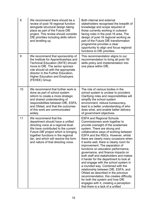| 8  | We recommend there should be a<br>review of post-16 regional function<br>alongside structural design taking<br>place as part of the Future DfE<br>project. This review should consider<br>DfE priorities including skills reform<br>and levelling up.                                                        | Both internal and external<br>stakeholders recognised the breadth of<br>knowledge and scope required of<br>those currently working in outward-<br>facing roles in the post-16 area. The<br>design of post-16 regional working as<br>part of the Future DfE transformation<br>programme provides a clear<br>opportunity to align and focus regional<br>functions to DfE priorities.                                                                                                                                                                                                                                                                                                                                                                                                                                                     |
|----|--------------------------------------------------------------------------------------------------------------------------------------------------------------------------------------------------------------------------------------------------------------------------------------------------------------|----------------------------------------------------------------------------------------------------------------------------------------------------------------------------------------------------------------------------------------------------------------------------------------------------------------------------------------------------------------------------------------------------------------------------------------------------------------------------------------------------------------------------------------------------------------------------------------------------------------------------------------------------------------------------------------------------------------------------------------------------------------------------------------------------------------------------------------|
| 9  | We recommend that sponsorship of<br>the Institute for Apprenticeships and<br><b>Technical Education (IfATE) should</b><br>move to DfE. The senior sponsor<br>role should sit with the appropriate<br>director in the Further Education,<br><b>Higher Education and Employers</b><br>(FEHEE) Group.           | This recommendation aligns to our<br>recommendation to bring all post-16/<br>skills policy and implementation into<br>one place within DfE.                                                                                                                                                                                                                                                                                                                                                                                                                                                                                                                                                                                                                                                                                            |
| 10 | We recommend that further work is<br>done as part of school system<br>reform to create a more strategic<br>and shared understanding of<br>responsibilities between DfE, ESFA,<br>and Ofsted, and that the outcomes<br>of this work are communicated<br>widely.                                               | The role of various bodies in the<br>school system is unclear to providers.<br>Clarifying roles and responsibilities will<br>simplify the school system<br>environment, reduce bureaucracy,<br>lead to a better understanding of who<br>does what, and enable better delivery<br>of government objectives.                                                                                                                                                                                                                                                                                                                                                                                                                                                                                                                             |
| 11 | We recommend that the<br>department should have a unified<br>directing voice at a regional level.<br>We have contributed to the current<br><i>Future DfE</i> project which is bringing<br>together functions in the regional<br>tier, and which will resolve the form<br>and nature of that directing voice. | <b>ESFA and Regional Schools</b><br>Commissioners work together to<br>provide oversight of the academies<br>system. There are strong and<br>collaborative ways of working between<br>ESFA and the RSCs. However, whilst<br>there are clearly many occasions when<br>it works well, there is clearly room for<br>improvement. The separation of<br>functions on education performance,<br>governance, and finance impacts on<br>both staff and stakeholders and makes<br>it harder for the department to look at<br>and engage with the school system in<br>a rounded way. Combined with the<br>relationship between DfE, ESFA, and<br>Ofsted as described in the previous<br>recommendation, this creates difficulty<br>for both the system and how DfE<br>engages with it, creating a perception<br>that there is a lack of a unified |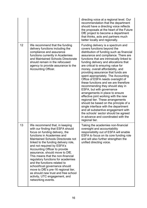|    |                                                                                                                                                                                                                                                                                                                                                                                                                                                                                                                                                                                                     | directing voice at a regional level. Our<br>recommendation that the department<br>should have a directing voice reflects<br>the proposals at the heart of the Future<br>DfE project to become a department<br>that thinks, acts and partners much<br>better locally and regionally.                                                                                                                                                                                                                                                                                                                                                                                                                                                                                                                                                                                                         |
|----|-----------------------------------------------------------------------------------------------------------------------------------------------------------------------------------------------------------------------------------------------------------------------------------------------------------------------------------------------------------------------------------------------------------------------------------------------------------------------------------------------------------------------------------------------------------------------------------------------------|---------------------------------------------------------------------------------------------------------------------------------------------------------------------------------------------------------------------------------------------------------------------------------------------------------------------------------------------------------------------------------------------------------------------------------------------------------------------------------------------------------------------------------------------------------------------------------------------------------------------------------------------------------------------------------------------------------------------------------------------------------------------------------------------------------------------------------------------------------------------------------------------|
| 12 | We recommend that the funding<br>delivery functions including the<br>compliance and assurance<br>functions currently in Academies<br>and Maintained Schools Directorate<br>should remain in the refocused<br>agency to provide assurance to the<br><b>Accounting Officer.</b>                                                                                                                                                                                                                                                                                                                       | Funding delivery is a spectrum and<br>covers functions beyond the<br>distribution of funding such as financial<br>assurance and compliance. There are<br>functions that are intrinsically linked to<br>funding delivery and allocations that<br>are critical to ensuring value for<br>money, overall affordability, and<br>providing assurance that funds are<br>spent appropriately. The Accounting<br>Office of ESFA needs oversight of<br>these functions and we are therefore<br>recommending they should stay in<br>ESFA, but with governance<br>arrangements in place to ensure<br>effective joint working with the new<br>regional tier. These arrangements<br>should be based on the principle of a<br>single interface with the department<br>and all substantive engagement with<br>the schools' sector should be agreed<br>in advance and coordinated with the<br>regional tier. |
| 13 | We recommend that, in keeping<br>with our finding that ESFA should<br>focus on funding delivery, the<br>functions in Academies and<br>Maintained Schools Directorate not<br>linked to the funding delivery role,<br>and not required by ESFA's<br>Accounting Officer to provide<br>assurance, should move to DfE.<br>This means that the non-financial<br>regulatory functions for academies<br>and the functions related to<br>school/trust governance should<br>move to DfE's pre-16 regional tier,<br>as should new trust and free school<br>activity, UTC engagement, and<br>networking events. | Taking the academies non-financial<br>oversight and accountability<br>responsibility out of ESFA will enable<br>ESFA to focus on its core funding role<br>and will also further strengthen the<br>unified directing voice.                                                                                                                                                                                                                                                                                                                                                                                                                                                                                                                                                                                                                                                                  |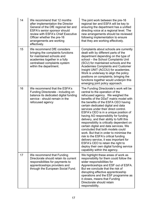| 14 | We recommend that 12 months<br>after implementation the Director<br>General of the DfE regional tier and<br>ESFA's senior sponsor should<br>review with ESFA's Chief Executive<br>Officer whether the pre-16<br>arrangements are working<br>effectively. | The joint work between the pre-16<br>regional tier and ESFA will be key to<br>ensuring the department has a unified<br>directing voice at a regional level. The<br>new arrangements should be reviewed<br>following implementation to ensure<br>that they are working effectively.                                                                                                                                                                                                                                                                                                                                                                                                                                                                                                  |
|----|----------------------------------------------------------------------------------------------------------------------------------------------------------------------------------------------------------------------------------------------------------|-------------------------------------------------------------------------------------------------------------------------------------------------------------------------------------------------------------------------------------------------------------------------------------------------------------------------------------------------------------------------------------------------------------------------------------------------------------------------------------------------------------------------------------------------------------------------------------------------------------------------------------------------------------------------------------------------------------------------------------------------------------------------------------|
| 15 | We recommend DfE considers<br>bringing the complaints functions<br>for maintained schools and<br>academies together in a fully<br>centralised complaints system<br>within the department.                                                                | Complaints about schools are currently<br>dealt with by different parts of the<br>department depending on the type of<br>school - the School Complaints Unit<br>(SCU) for maintained schools and the<br><b>Academies Complaints and Customer</b><br>Insight UNIT (ACCIU) for academies.<br>Work is underway to align the policy<br>positions on complaints; bringing the<br>functions together would underpin this<br>emerging joint policy approach.                                                                                                                                                                                                                                                                                                                               |
| 16 | We recommend that the ESFA's<br>Funding Directorate - including on<br>balance its dedicated digital funding<br>service - should remain in the<br>refocused agency                                                                                        | The Funding Directorate's work will be<br>central to the operation of the<br>refocused agency. We weighed the<br>benefits of the DDaT matrix model with<br>the benefits of the ESFA CEO having<br>certain dedicated digital and data<br>services under their direct control.<br>ESFA's CEO is in a unique position of<br>having AO responsibility for funding<br>delivery, and their ability to fulfil this<br>responsibility is critically dependent on<br>certain digital and data services. We<br>concluded that both models could<br>work. But that in order to minimise the<br>risk to the ESFA's critical funding<br>delivery service, it was important for<br>ESFA's CEO to retain the right to<br>deploy their own digital funding service<br>capability within the agency. |
| 17 | We recommend that Funding<br>Directorate should retain its current<br>responsibilities for payments to<br>apprenticeships providers and<br>through the European Social Fund.                                                                             | We highlight these areas of work as<br>responsibility for them could follow the<br>wider responsibilities for<br>Apprenticeships and ESF out of ESFA.<br>But we conclude that the risk of<br>disrupting effective apprenticeship<br>operations and the ESF programme as<br>it closes, means that Funding<br>Directorate should retain<br>responsibility.                                                                                                                                                                                                                                                                                                                                                                                                                            |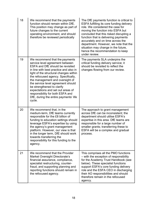| 18 | We recommend that the payments<br>function should remain within DfE.<br>This position may change as part of<br>future changes to the current<br>operating environment, and should<br>therefore be reviewed periodically                                                                                                                                                                                                                                             | The DfE payments function is critical to<br>ESFA fulfilling its core funding delivery<br>role. We considered the case for<br>moving the function into ESFA but<br>concluded that this risked disrupting a<br>function that is delivering payments<br>accurately and on time across the<br>department. However, we note that the<br>situation may change in the future,<br>hence the recommendation to keep<br>under review. |
|----|---------------------------------------------------------------------------------------------------------------------------------------------------------------------------------------------------------------------------------------------------------------------------------------------------------------------------------------------------------------------------------------------------------------------------------------------------------------------|-----------------------------------------------------------------------------------------------------------------------------------------------------------------------------------------------------------------------------------------------------------------------------------------------------------------------------------------------------------------------------------------------------------------------------|
| 19 | We recommend that the payments<br>service level agreement between<br>ESFA and DfE should be revisited<br>in line with best practice and also in<br>light of the structural changes within<br>the refocused agency. Specifically,<br>the management and oversight of<br>the service level agreement should<br>be strengthened to clarify<br>expectations and set out areas of<br>responsibility for both ESFA and<br>DfE, during the entire payments' life<br>cycle. | The payments SLA underpins the<br>critical funding delivery service; it<br>should be revisited to reflect the<br>changes flowing from our review.                                                                                                                                                                                                                                                                           |
| 20 | We recommend that, in the<br>medium-term, DfE teams currently<br>responsible for the £8 billion of<br>funding to education settings should<br>leverage ESFA's expertise by using<br>the agency's grant management<br>platform. However, our view is that<br>in the longer term, DfE should work<br>towards transferring the<br>responsibility for this funding to the<br>agency.                                                                                    | The approach to grant management<br>across DfE can be inconsistent; the<br>department should utilise ESFA's<br>expertise in this area. DfE teams are<br>responsible for a large number of<br>smaller grants; transferring these to<br>ESFA will be a complex and gradual<br>process.                                                                                                                                        |
| 21 | We recommend that the Provider<br>Market Oversight Directorate's<br>financial assurance, compliance,<br>specialist restructuring, counter-<br>fraud, and supporting planning and<br>reporting functions should remain in<br>the refocused agency.                                                                                                                                                                                                                   | This comprises all the PMO functions<br>- with the exception of responsibility<br>for the Academy Trust Handbook (see<br>below). These specialist functions<br>support ESFA's core funding delivery<br>role and the ESFA CEO in discharging<br>their AO responsibilities and should<br>therefore remain in the refocused<br>agency.                                                                                         |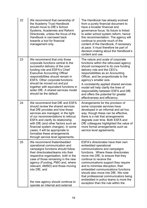| 22 | We recommend that ownership of<br>the Academy Trust Handbook<br>should move to DfE's School<br>Systems, Academies and Reform<br>Directorate, unless the focus of the<br>Handbook is narrowed back<br>towards a tool for financial<br>management only.                                                                                                                                                               | The Handbook has already evolved<br>from a purely financial document to<br>have a broader financial and<br>governance focus. Its future is linked<br>to wider school system reform, hence<br>this recommendation. The agency will<br>continue to provide much of the<br>content of the Handbook, if necessary<br>at pace. It must therefore be part of<br>decision-making about the Handbook's<br>content and use.                                                               |
|----|---------------------------------------------------------------------------------------------------------------------------------------------------------------------------------------------------------------------------------------------------------------------------------------------------------------------------------------------------------------------------------------------------------------------|----------------------------------------------------------------------------------------------------------------------------------------------------------------------------------------------------------------------------------------------------------------------------------------------------------------------------------------------------------------------------------------------------------------------------------------------------------------------------------|
| 23 | We recommend that only those<br>corporate functions central to the<br>successful delivery of the core<br>funding role and ESFA's Chief<br><b>Executive Accounting Officer</b><br>responsibilities should remain in<br>ESFA. Other corporate functions<br>should be moved out and put<br>together with equivalent functions in<br>wider DfE. A shared services model<br>should be the default.                       | The nature and scale of corporate<br>functions within the refocused agency<br>should correspond to its core funding<br>delivery role and the CEO's<br>responsibilities as an Accounting<br>Officer, and be proportionate to the<br>agency's smaller size.<br>A consistently applied shared services<br>model will help clarify the lines of<br>responsibility between ESFA and DfE.<br>and offers the potential for greater<br>effectiveness and efficiency.                     |
| 24 | We recommend that DfE and ESFA<br>should review the shared services<br>that DfE provides and how those<br>services are managed, in the light<br>of our recommendations to refocus<br><b>ESFA and clarify its relationship</b><br>with DfE (and other factors such as<br>financial system changes). In some<br>cases, it will be appropriate to<br>formalise these arrangements<br>through service level agreements. | Arrangements for the provision of<br>some corporate services have<br>developed in an informal and ad hoc<br>way; though these can be effective,<br>there is a risk that arrangements<br>degrade over time. Both ESFA and<br>DfE colleagues highlighted the value of<br>more formal arrangements such as<br>service level agreements.                                                                                                                                             |
| 25 | We recommend thatembedded<br>operational communication and<br>campaigns functions should follow<br>their directorates/teams into their<br>respective organisation, both in the<br>case of those remaining in the new<br>agency (Funding, PMO and, where<br>relevant, AMSD) and those moving<br>into DfE; and<br>the new agency should continue to<br>operate an internal and external                               | ESFA's directorates have their own<br>embedded operational<br>communications and campaigns<br>functions. Where these directorates<br>move into DfE, to ensure that they<br>continue to receive the<br>communications support they require<br>and to minimise disruption, their<br>embedded communications functions<br>should also move into DfE. We note<br>that professional communicators being<br>embedded in policy teams is more the<br>exception than the rule within the |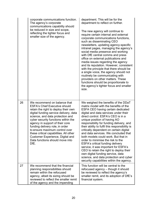|    | corporate communications function.<br>The agency's corporate<br>communications capability should<br>be reduced in size and scope,<br>reflecting the tighter focus and<br>smaller size of the agency.                                                                                                                                                                                                                                                                      | department. This will be for the<br>department to reflect on further.<br>The new agency will continue to<br>require certain internal and external<br>corporate communications functions,<br>such as disseminating CEO<br>newsletters, updating agency-specific<br>intranet pages, managing the agency's<br>social media presence and working<br>with DfE central comms and press<br>office on external publications and<br>media issues regarding the agency<br>and its reputation. However, consistent<br>with the principle that there should be<br>a single voice, the agency should not<br>routinely be communicating with<br>providers on other matters. These<br>functions should be proportionate to<br>the agency's tighter focus and smaller<br>size. |
|----|---------------------------------------------------------------------------------------------------------------------------------------------------------------------------------------------------------------------------------------------------------------------------------------------------------------------------------------------------------------------------------------------------------------------------------------------------------------------------|----------------------------------------------------------------------------------------------------------------------------------------------------------------------------------------------------------------------------------------------------------------------------------------------------------------------------------------------------------------------------------------------------------------------------------------------------------------------------------------------------------------------------------------------------------------------------------------------------------------------------------------------------------------------------------------------------------------------------------------------------------------|
| 26 | We recommend on balance that<br><b>ESFA's Chief Executive should</b><br>retain the right to deploy their own<br>digital funding service delivery, data<br>science, and data protection and<br>cyber security functions within the<br>agency in support of their core<br>funding delivery role, in order<br>to ensure maximum control over<br>these critical capabilities. All other<br><b>Customer Experience, Digital and</b><br>Data functions should move into<br>DfE. | We weighed the benefits of the DDaT<br>matrix model with the benefits of the<br><b>ESFA CEO having certain dedicated</b><br>digital and data services under their<br>direct control. ESFA's CEO is in a<br>unique position of having AO<br>responsibility for funding delivery, and<br>their ability to fulfil this responsibility is<br>critically dependent on certain digital<br>and data services. We concluded that<br>both models could work. But that in<br>order to minimise the risk to the<br><b>ESFA's critical funding delivery</b><br>service, it was important for ESFA's<br>CEO to retain the right to deploy their<br>own digital funding service, data<br>science, and data protection and cyber<br>security capabilities within the agency.  |
| 27 | We recommend that the financial<br>planning responsibilities should<br>remain within the refocused<br>agency, albeit its sizing should be<br>reviewed to reflect the smaller remit<br>of the agency and the impending                                                                                                                                                                                                                                                     | This function will be central to the<br>refocused agency - though it should<br>be reviewed to reflect the agency's<br>smaller remit, and its adoption of DfE's<br>financial system.                                                                                                                                                                                                                                                                                                                                                                                                                                                                                                                                                                            |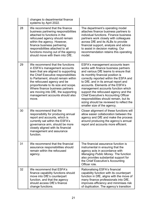|    | changes to departmental finance<br>systems by April 2022.                                                                                                                                                                                                                                                                                                                           |                                                                                                                                                                                                                                                                                                                                                                                                                                                                                                                               |
|----|-------------------------------------------------------------------------------------------------------------------------------------------------------------------------------------------------------------------------------------------------------------------------------------------------------------------------------------------------------------------------------------|-------------------------------------------------------------------------------------------------------------------------------------------------------------------------------------------------------------------------------------------------------------------------------------------------------------------------------------------------------------------------------------------------------------------------------------------------------------------------------------------------------------------------------|
| 28 | We recommend that the finance<br>business partnering responsibilities<br>attached to functions in the<br>refocused agency should remain<br>within the agency. However,<br>finance business partnering<br>responsibilities attached to all<br>functions moving out of the agency<br>should move with them into DfE.                                                                  | The department's operating model<br>attaches finance business partners to<br>individual functions. Finance business<br>partners work closely with colleagues<br>across DfE and its ALBs to provide<br>financial support, analysis and advice<br>to assist in decision making. Our<br>recommendation retains this operating<br>model.                                                                                                                                                                                          |
| 29 | We recommend that the functions<br>in ESFA's management accounts<br>team that are aligned to supporting<br>the Chief Executive responsibilities<br>to Parliament, should remain within<br>the refocused agency and be<br>proportionate to its size and scope.<br>Where finance business partners<br>are moving into DfE, the supporting<br>management accounts should also<br>move. | ESFA's management accounts team<br>works with finance business partners<br>and various DfE teams to ensure that<br>its monthly financial position is<br>correctly reported within the ESFA and<br>to DfE, and in its annual report and<br>accounts. Elements of the ESFA's<br>management accounts function which<br>support the refocused agency and the<br><b>Chief Executive's Accounting Officer</b><br>responsibilities should remain, but its<br>sizing should be reviewed to reflect the<br>smaller size of the agency. |
| 30 | We recommend that the<br>responsibility for producing annual<br>report and accounts, which is<br>currently sat within the ESFA's<br>governance arm, should be more<br>closely aligned with its financial<br>management and assurance<br>function.                                                                                                                                   | Closer alignment of these functions will<br>allow easier collaboration between the<br>agency and DfE and make the process<br>around producing the agency's annual<br>report and accounts more efficient.                                                                                                                                                                                                                                                                                                                      |
| 31 | We recommend that the financial<br>assurance responsibilities should<br>remain within the refocused<br>agency.                                                                                                                                                                                                                                                                      | The financial assurance function is<br>instrumental in ensuring that the<br>agency acts in accordance with<br>Managing Public Money. The function<br>also provides substantial support for<br>the Chief Executive's Accounting<br>Officer role.                                                                                                                                                                                                                                                                               |
| 32 | We recommend that ESFA's<br>finance capability functions should<br>move into DfE's counterpart<br>function, and that the agency<br>should access DfE's finance<br>change functions.                                                                                                                                                                                                 | Rationalising ESFA's financial<br>capability function with its counterpart<br>function in DfE, aligns with the move of<br>many finance professionals into DfE,<br>improves efficiency and minimises risk<br>of duplication. The agency's transition                                                                                                                                                                                                                                                                           |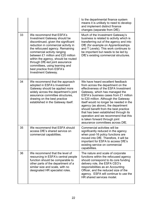|    |                                                                                                                                                                                                                                                                                                                                                                                                                              | to the departmental finance system<br>means it is unlikely to need to develop<br>and implement distinct finance<br>changes (separate from DfE).                                                                                                                                                                                                                                                                                                                                                                  |
|----|------------------------------------------------------------------------------------------------------------------------------------------------------------------------------------------------------------------------------------------------------------------------------------------------------------------------------------------------------------------------------------------------------------------------------|------------------------------------------------------------------------------------------------------------------------------------------------------------------------------------------------------------------------------------------------------------------------------------------------------------------------------------------------------------------------------------------------------------------------------------------------------------------------------------------------------------------|
| 33 | We recommend that ESFA's<br><b>Investment Gateway should be</b><br>discontinued, given the significant<br>reduction in commercial activity in<br>the refocused agency. Remaining<br>commercial activity ranging<br>between £1 million and £20 million<br>within the agency, should be routed<br>through DfE-led joint assurance<br>committees, using learning and<br>best practice from ESFA's<br><b>Investment Gateway.</b> | Much of the Investment Gateway's<br>business is related to activity which is<br>transferring out of the agency and into<br>DfE (for example on Apprenticeships<br>and T Levels). This work continues to<br>be important but needs to be led by<br>DfE's existing commercial structures.                                                                                                                                                                                                                          |
| 34 | We recommend that the approach<br>adopted in ESFA's Investment<br>Gateway should be applied more<br>widely across the department's joint<br>assurance committee structures,<br>drawing on the best practice<br>established in the Gateway itself.                                                                                                                                                                            | We have heard excellent feedback<br>from across the department on the<br>effectiveness of the ESFA Investment<br>Gateway, which has managed the<br>ESFA's business cases from £1 million<br>to £20 million. Although the Gateway<br>itself would no longer be needed in the<br>agency (as above), the department<br>should benefit from the best practice<br>that has been established through its<br>operation and we recommend that this<br>is taken forward through joint<br>assurance committees across DfE. |
| 35 | We recommend that ESFA should<br>access DfE's shared service on<br>commercial capabilities.                                                                                                                                                                                                                                                                                                                                  | Commercial activities will be<br>significantly reduced in the agency<br>when post-16 policy functions are<br>moved into DfE. Therefore, it will be<br>important for ESFA to access DfE's<br>existing service on commercial<br>capabilities.                                                                                                                                                                                                                                                                      |
| 36 | We recommend that the level of<br>resourcing in ESFA's central people<br>function should be comparable to<br>other parts of the department of a<br>similar size and scale, with no<br>designated HR specialist roles.                                                                                                                                                                                                        | The nature and scale of corporate<br>functions within the refocused agency<br>should correspond to its core funding<br>delivery role, the ESFA CEO's<br>responsibilities as an Accounting<br>Officer, and the reduced size of the<br>agency. ESFA will continue to use the<br>HR shared services model.                                                                                                                                                                                                          |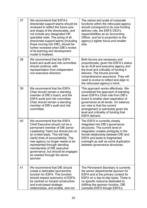| 37 | We recommend that ESFA's<br>directorate support teams should be<br>reviewed to reflect the future size<br>and shape of the directorates, and<br>not include any designated HR<br>specialist roles. The sizing of all<br>directorate support teams (including<br>those moving into DfE), should be<br>further reviewed when DfE's review<br>of its learning and development<br>model is finalised.     | The nature and scale of corporate<br>functions within the refocused agency<br>should correspond to its core funding<br>delivery role, the ESFA CEO's<br>responsibilities as an Accounting<br>Officer, and be in proportion to the<br>agency's tighter focus and smaller<br>size.                                                        |
|----|-------------------------------------------------------------------------------------------------------------------------------------------------------------------------------------------------------------------------------------------------------------------------------------------------------------------------------------------------------------------------------------------------------|-----------------------------------------------------------------------------------------------------------------------------------------------------------------------------------------------------------------------------------------------------------------------------------------------------------------------------------------|
| 38 | We recommend that the ESFA<br>board and audit and risk committee<br>should continue, with<br>representation from independent<br>non-executive directors.                                                                                                                                                                                                                                              | Both forums are necessary and<br>proportionate, given the ESFA's status<br>as an ALB and executive agency and<br>the level and criticality of funding it<br>delivers. The forums provide<br>comprehensive assurance. They will<br>need to evolve to reflect and align to<br>the refocused agency's remit.                               |
| 39 | We recommend that the ESFA<br>Chair should remain a standing<br>member of DfE's board, and the<br><b>ESFA audit and risk committee</b><br>Chair should remain a standing<br>member of DfE's audit and risk<br>committee.                                                                                                                                                                              | This approach works effectively. We<br>considered the approach of standing<br>down ESFA's Chair role from DfE's<br>board to enable clear separation of<br>governance at all levels. On balance,<br>our view is that the current<br>arrangement is warranted given the<br>level and criticality of funding that<br><b>ESFA delivers.</b> |
| 40 | We recommend that the ESFA<br>Chief Executive should not be a<br>permanent member of DfE senior<br>Leadership Team but should join on<br>an invited basis. This will help<br>clarify lines of accountability. The<br>new agency no longer needs to be<br>represented through standing<br>membership of DfE executive<br>governance, but should be engaged<br>as needed through the senior<br>sponsor. | The ESFA is currently closely<br>integrated into DfE's governance<br>structures. The current level of<br>integration creates ambiguity in the<br>formal relationship between DfE and<br><b>ESFA and leads to fragmented</b><br>oversight as well as some duplication<br>between governance structures.                                  |
| 41 | We recommend that DfE should<br>create a dedicated sponsorship<br>function for ESFA. This function<br>should respect autonomy of ESFA,<br>be centred on honest constructive<br>and trust-based strategic<br>relationships, and enable, and not                                                                                                                                                        | The Permanent Secretary is currently<br>the senior departmental sponsor for<br>ESFA and is the primary contact for<br>ESFA on a day-to-day basis. There is<br>no specific resource dedicated to<br>fulfilling the sponsor function. DfE<br>oversees ESFA though ESFA's                                                                  |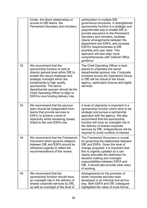|    | hinder, the direct relationships or<br>access to DfE teams, the<br>Permanent Secretary and ministers.                                                                                                                                                                                                                                             | participation in multiple DfE<br>governance structures. A strengthened<br>sponsorship function is a strategic and<br>proportionate way to enable DfE to<br>provide assurance to the Permanent<br>Secretary and ministers, facilitate<br>clearer arrangements between the<br>department and ESFA, and increase<br>ESFA's responsiveness to DfE<br>priorities and user need. This<br>approach will also align more<br>comprehensively with Cabinet Office<br>guidance. |
|----|---------------------------------------------------------------------------------------------------------------------------------------------------------------------------------------------------------------------------------------------------------------------------------------------------------------------------------------------------|----------------------------------------------------------------------------------------------------------------------------------------------------------------------------------------------------------------------------------------------------------------------------------------------------------------------------------------------------------------------------------------------------------------------------------------------------------------------|
| 42 | We recommend that the<br>sponsorship function is held at<br>director general level within DfE to<br>enable the robust challenge and<br>strategic oversight which are<br>fundamental to high quality<br>sponsorship. The senior<br>departmental sponsor should be the<br>Chief Operating Officer to align to<br>ESFA's core funding delivery role. | The Chief Operating Officer is best<br>placed to undertake the senior<br>departmental sponsor role. Corporate<br>functions across the Operations Group<br>in DfE will be critical to the future<br>agency, particularly finance and digital<br>services.                                                                                                                                                                                                             |
| 43 | We recommend that the sponsor<br>team should be independent from<br>teams that provide services to<br>ESFA, to achieve a level of<br>objectivity whilst remaining closely<br>linked to the core ESFA role.                                                                                                                                        | A level of objectivity is important in a<br>sponsorship function which aims to be<br>strategic and pursue a partnership<br>approach with the agency. We also<br>recommend that the sponsorship<br>function will have an oversight role in<br>the delivery of shared corporate<br>services by DfE. Independence will be<br>required to avoid conflicts of interest.                                                                                                   |
| 44 | We recommend that the Framework<br>Document which governs relations<br>between DfE and ESFA should be<br>refreshed urgently to reflect the<br>recommendations of this review.                                                                                                                                                                     | The Framework Document is crucial<br>for governing the relationship between<br>DfE and ESFA. Given the level of<br>change proposed, it is important that<br>this is urgently updated so it can<br>clearly articulate the distinction for<br>decision making and oversight<br>responsibilities between ESFA and<br>DfE. It should also provide clear ways<br>of working.                                                                                              |
| 45 | We recommend that the<br>sponsorship function should have<br>an oversight role in the delivery of<br>shared corporate services by DfE,<br>as well as oversight of the level of                                                                                                                                                                    | Arrangements for the provision of<br>some corporate services have<br>developed in an informal and ad-hoc<br>way. Both ESFA and DfE colleagues<br>highlighted the value of more formal                                                                                                                                                                                                                                                                                |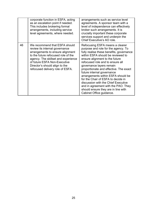|    | corporate function in ESFA, acting<br>as an escalation point if needed.<br>This includes brokering formal<br>arrangements, including service<br>level agreements, where needed.                                                                                                         | arrangements such as service level<br>agreements. A sponsor team with a<br>level of independence can effectively<br>broker such arrangements. It is<br>crucially important these corporate<br>services support and underpin the<br>Chief Executive's AO role.                                                                                                                                                                                                                                                                                                  |
|----|-----------------------------------------------------------------------------------------------------------------------------------------------------------------------------------------------------------------------------------------------------------------------------------------|----------------------------------------------------------------------------------------------------------------------------------------------------------------------------------------------------------------------------------------------------------------------------------------------------------------------------------------------------------------------------------------------------------------------------------------------------------------------------------------------------------------------------------------------------------------|
| 46 | We recommend that ESFA should<br>review its internal governance<br>arrangements to ensure alignment<br>to the future refocused role of the<br>agency. The skillset and experience<br>of future ESFA Non-Executive<br>Director's should align to the<br>refocused delivery role of ESFA. | Refocusing ESFA means a clearer<br>purpose and role for the agency. To<br>fully realise these benefits, governance<br>within ESFA should be reviewed to<br>ensure alignment to the future<br>refocused role and to ensure all<br>governance layers remain<br>proportionate and effective. The exact<br>future internal governance<br>arrangements within ESFA should be<br>for the Chair of ESFA to decide in<br>discussion with the Chief Executive<br>and in agreement with the PAO. They<br>should ensure they are in line with<br>Cabinet Office guidance. |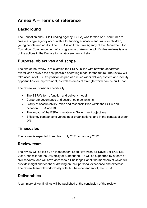# <span id="page-25-0"></span>**Annex A – Terms of reference**

## <span id="page-25-1"></span>**Background**

The Education and Skills Funding Agency (ESFA) was formed on 1 April 2017 to create a single agency accountable for funding education and skills for children, young people and adults. The ESFA is an Executive Agency of the Department for Education. Commencement of a programme of Arm's Length Bodies reviews is one of the actions in the Declaration on Government's Reform.

#### <span id="page-25-2"></span>**Purpose, objectives and scope**

The aim of the review is to examine the ESFA, in line with how the department overall can achieve the best possible operating model for the future. The review will take account of ESFA's position as part of a much wider delivery system and identify opportunities for improvement, as well as areas of strength which can be built upon.

The review will consider specifically:

- The ESFA's form, function and delivery model
- Corporate governance and assurance mechanisms
- Clarity of accountability, roles and responsibilities within the ESFA and between ESFA and DfE
- The impact of the ESFA in relation to Government objectives
- Efficiency comparisons versus peer organisations, and in the context of wider DfE

#### <span id="page-25-3"></span>**Timescales**

The review is expected to run from July 2021 to January 2022.

#### <span id="page-25-4"></span>**Review team**

The review will be led by an Independent Lead Reviewer, Sir David Bell KCB DB, Vice Chancellor of the University of Sunderland. He will be supported by a team of civil servants, and will have access to a Challenge Panel, the members of which will provide insight and feedback drawing on their personal experience and expertise. The review team will work closely with, but be independent of, the ESFA.

## <span id="page-25-5"></span>**Deliverables**

A summary of key findings will be published at the conclusion of the review.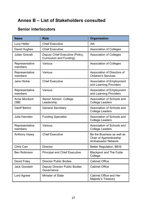# <span id="page-26-0"></span>**Annex B – List of Stakeholders consulted**

#### <span id="page-26-1"></span>**Senior interlocutors**

| <b>Name</b>                | <b>Role</b>                                                       | Organisation                                                                       |
|----------------------------|-------------------------------------------------------------------|------------------------------------------------------------------------------------|
| Lucy Heller                | <b>Chief Executive</b>                                            | Ark                                                                                |
| David Hughes               | <b>Chief Executive</b>                                            | <b>Association of Colleges</b>                                                     |
| <b>Julian Gravatt</b>      | Deputy Chief Executive (Policy,<br><b>Curriculum and Funding)</b> | <b>Association of Colleges</b>                                                     |
| Representative<br>members  | Various                                                           | <b>Association of Colleges</b>                                                     |
| Representative<br>members  | Various                                                           | Association of Directors of<br><b>Children's Services</b>                          |
| Jane Hickie                | <b>Chief Executive</b>                                            | <b>Association of Employment</b><br>and Learning Providers                         |
| Representative<br>members  | Various                                                           | <b>Association of Employment</b><br>and Learning Providers                         |
| Anne Murdoch<br><b>OBE</b> | Senior Advisor, College<br>Leadership                             | Association of Schools and<br><b>College Leaders</b>                               |
| <b>Geoff Barton</b>        | <b>General Secretary</b>                                          | Association of Schools and<br><b>College Leaders</b>                               |
| Julia Harnden              | <b>Funding Specialist</b>                                         | Association of Schools and<br><b>College Leaders</b>                               |
| Representative<br>members  | Various                                                           | Association of Schools and<br><b>College Leaders</b>                               |
| Anthony Impey              | <b>Chief Executive</b>                                            | Be the Business as well as<br>Chair of Apprenticeship<br><b>Ambassador Network</b> |
| <b>Chris Carr</b>          | <b>Director</b>                                                   | <b>Better Regulation, BEIS</b>                                                     |
| <b>Bev Robinson</b>        | <b>Principal and Chief Executive</b>                              | <b>Blackpool and The Fylde</b><br>College                                          |
| David Foley                | <b>Director Public Bodies</b>                                     | <b>Cabinet Office</b>                                                              |
| <b>Jack Goodwin</b>        | <b>Deputy Director Public Bodies</b><br>Governance                | <b>Cabinet Office</b>                                                              |
| Lord Agnew                 | <b>Minister of State</b>                                          | <b>Cabinet Office and Her</b><br>Majesty's Treasury                                |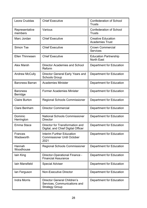| Leora Cruddas               | <b>Chief Executive</b>                                                                      | <b>Confederation of School</b><br>Trusts            |
|-----------------------------|---------------------------------------------------------------------------------------------|-----------------------------------------------------|
| Representative<br>members   | Various                                                                                     | <b>Confederation of School</b><br><b>Trusts</b>     |
| Marc Jordan                 | <b>Chief Executive</b>                                                                      | <b>Creative Education</b><br><b>Academies Trust</b> |
| Simon Tse                   | <b>Chief Executive</b>                                                                      | <b>Crown Commercial</b><br><b>Services</b>          |
| <b>Ellen Thinnesen</b>      | <b>Chief Executive</b>                                                                      | <b>Education Partnership</b><br><b>North East</b>   |
| <b>Alex Marsh</b>           | <b>Director Academies and School</b><br>Reform                                              | Department for Education                            |
| <b>Andrew McCully</b>       | Director General Early Years and<br><b>Schools Group</b>                                    | <b>Department for Education</b>                     |
| <b>Baroness Barran</b>      | <b>Academies Minister</b>                                                                   | <b>Department for Education</b>                     |
| <b>Baroness</b><br>Berridge | <b>Former Academies Minister</b>                                                            | Department for Education                            |
| <b>Claire Burton</b>        | <b>Regional Schools Commissioner</b>                                                        | Department for Education                            |
| <b>Clare Benham</b>         | <b>Director Commercial</b>                                                                  | Department for Education                            |
| Dominic<br>Herrington       | <b>National Schools Commissioner</b><br><b>Director</b>                                     | Department for Education                            |
| Emma Stace                  | Director for Transformation and<br>Digital, and Chief Digital Officer                       | <b>Department for Education</b>                     |
| <b>Frances</b><br>Wadsworth | <b>Interim Further Education</b><br><b>Commissioner Until October</b><br>2021               | Department for Education                            |
| Hannah<br>Woodhouse         | <b>Regional Schools Commissioner</b>                                                        | Department for Education                            |
| lain King                   | Director-Operational Finance -<br><b>Financial Assurance</b>                                | Department for Education                            |
| lain Mansfield              | <b>Special Adviser</b>                                                                      | Department for Education                            |
| lan Ferguson                | <b>Non-Executive Director</b>                                                               | Department for Education                            |
| <b>Indra Morris</b>         | <b>Director General Children's</b><br>Services, Communications and<br><b>Strategy Group</b> | Department for Education                            |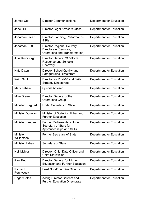| <b>James Cox</b>              | <b>Director Communications</b>                                                                       | <b>Department for Education</b> |
|-------------------------------|------------------------------------------------------------------------------------------------------|---------------------------------|
| Jane Hill                     | <b>Director Legal Advisers Office</b>                                                                | Department for Education        |
| <b>Jonathan Clear</b>         | Director Planning, Performance<br>& Risk                                                             | Department for Education        |
| Jonathan Duff                 | <b>Director Regional Delivery</b><br>Directorate (Services,<br><b>Operations and Transformation)</b> | <b>Department for Education</b> |
| Julia Kinniburgh              | <b>Director General COVID-19</b><br><b>Response and Schools</b><br>Recovery                          | Department for Education        |
| <b>Kate Dixon</b>             | Director School Quality and<br><b>Safeguarding Directorate</b>                                       | <b>Department for Education</b> |
| <b>Keith Smith</b>            | Director for Post-16 and Skills<br><b>Strategy Directorate</b>                                       | <b>Department for Education</b> |
| <b>Mark Lehain</b>            | <b>Special Adviser</b>                                                                               | <b>Department for Education</b> |
| Mike Green                    | Director General of the<br><b>Operations Group</b>                                                   | Department for Education        |
| <b>Minister Burghart</b>      | <b>Under Secretary of State</b>                                                                      | Department for Education        |
| <b>Minister Donelan</b>       | Minister of State for Higher and<br><b>Further Education</b>                                         | <b>Department for Education</b> |
| Minister Keegan               | <b>Former Parliamentary Under</b><br>Secretary of State for<br>Apprenticeships and Skills            | <b>Department for Education</b> |
| <b>Minister</b><br>Williamson | <b>Former Secretary of State</b>                                                                     | <b>Department for Education</b> |
| Minister Zahawi               | Secretary of State                                                                                   | <b>Department for Education</b> |
| <b>Neil McIvor</b>            | Director, Chief Data Officer and<br><b>Chief Statistician</b>                                        | Department for Education        |
| <b>Paul Kett</b>              | <b>Director General for Higher</b><br><b>Education and Further Education</b>                         | <b>Department for Education</b> |
| <b>Richard</b><br>Pennycook   | <b>Lead Non-Executive Director</b>                                                                   | Department for Education        |
| <b>Roger Cotes</b>            | <b>Acting Director Careers and</b><br><b>Further Education Directorate</b>                           | Department for Education        |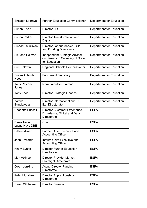| Shelagh Legrave              | <b>Further Education Commissioner</b>                                                      | <b>Department for Education</b> |
|------------------------------|--------------------------------------------------------------------------------------------|---------------------------------|
| Simon Fryer                  | Director HR                                                                                | Department for Education        |
| <b>Simon Parker</b>          | Director Transformation and<br><b>Digital</b>                                              | Department for Education        |
| Sinead O'Sullivan            | <b>Director Labour Market Skills</b><br>and Funding Directorate                            | Department for Education        |
| Sir John Holman              | <b>Independent Strategic Adviser</b><br>on Careers to Secretary of State<br>for Education  | Department for Education        |
| <b>Sue Baldwin</b>           | <b>Regional Schools Commissioner</b>                                                       | <b>Department for Education</b> |
| Susan Acland-<br>Hood        | <b>Permanent Secretary</b>                                                                 | <b>Department for Education</b> |
| <b>Toby Peyton-</b><br>Jones | <b>Non-Executive Director</b>                                                              | <b>Department for Education</b> |
| <b>Tony Foot</b>             | <b>Director Strategic Finance</b>                                                          | Department for Education        |
| Zamila<br><b>Bunglawala</b>  | Director International and EU<br><b>Exit Directorate</b>                                   | <b>Department for Education</b> |
| <b>Charlotte Briscall</b>    | Director Customer Experience,<br><b>Experience, Digital and Data</b><br><b>Directorate</b> | <b>ESFA</b>                     |
| Dame Irene<br>Lucas-Hays DBE | Chair                                                                                      | <b>ESFA</b>                     |
| Eileen Milner                | <b>Former Chief Executive and</b><br><b>Accounting Officer</b>                             | <b>ESFA</b>                     |
| John Edwards                 | Interim Chief Executive and<br><b>Accounting Officer</b>                                   | <b>ESFA</b>                     |
| <b>Kirsty Evans</b>          | <b>Director Further Education</b><br><b>Directorate</b>                                    | <b>ESFA</b>                     |
| <b>Matt Atkinson</b>         | <b>Director Provider Market</b><br><b>Oversight Directorate</b>                            | <b>ESFA</b>                     |
| Owen Jenkins                 | <b>Acting Director Funding</b><br><b>Directorate</b>                                       | <b>ESFA</b>                     |
| <b>Peter Mucklow</b>         | <b>Director Apprenticeships</b><br><b>Directorate</b>                                      | <b>ESFA</b>                     |
| Sarah Whitehead              | <b>Director Finance</b>                                                                    | <b>ESFA</b>                     |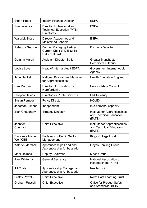| <b>Stuart Proud</b>                       | <b>Interim Finance Director</b>                                                              | <b>ESFA</b>                                                         |
|-------------------------------------------|----------------------------------------------------------------------------------------------|---------------------------------------------------------------------|
| <b>Sue Lovelock</b>                       | <b>Director Professional and</b><br><b>Technical Education (PTE)</b><br><b>Directorate</b>   | <b>ESFA</b>                                                         |
| <b>Warwick Sharp</b>                      | <b>Director Academies and</b><br><b>Maintained Schools</b>                                   | <b>ESFA</b>                                                         |
| Rebecca George                            | <b>Former Managing Partner;</b><br><b>Current Chair of DfE Skills</b><br><b>Reform Board</b> | <b>Formerly Deloitte</b>                                            |
| Gemma Marsh                               | <b>Assistant Director Skills</b>                                                             | <b>Greater Manchester</b><br><b>Combined Authority</b>              |
| Louise Love                               | <b>Head of Internal Audit ESFA</b>                                                           | <b>Government Internal Audit</b><br>Agency                          |
| <b>Jane Hadfield</b>                      | National Programme Manager<br>for Apprenticeships                                            | <b>Health Education England</b>                                     |
| Ceri Morgan                               | Director of Education for<br>Herefordshire                                                   | <b>Herefordshire Council</b>                                        |
| <b>Philippa Davies</b>                    | <b>Director for Public Services</b>                                                          | <b>HM Treasury</b>                                                  |
| <b>Susan Pember</b>                       | <b>Policy Director</b>                                                                       | <b>HOLEX</b>                                                        |
| <b>Jonathan Simons</b>                    | Independent                                                                                  | In a personal capacity                                              |
| <b>Beth Chaudhary</b>                     | <b>Strategy Director</b>                                                                     | Institute for Apprenticeships<br>and Technical Education<br>(IfATE) |
| Jennifer<br>Coupland                      | <b>Chief Executive</b>                                                                       | Institute for Apprenticeships<br>and Technical Education<br>(IfATE) |
| <b>Baroness Alison</b><br><b>Wolf CBE</b> | <b>Professor of Public Sector</b><br>Management                                              | Kings College London                                                |
| Kathryn Marshall                          | Apprenticeships Lead and<br>Apprenticeship Ambassador                                        | <b>Lloyds Banking Group</b>                                         |
| <b>Mark Holmes</b>                        | Deputy Chairman                                                                              | Mace Group                                                          |
| Paul Whiteman                             | <b>General Secretary</b>                                                                     | National Association of<br>Headteachers (NAHT)                      |
| Jill Coyle                                | Apprenticeship Manager and<br>Apprenticeship Ambassador                                      | Nestlé UK&I                                                         |
| <b>Lesley Powell</b>                      | <b>Chief Executive</b>                                                                       | <b>North East Learning Trust</b>                                    |
| <b>Graham Russell</b>                     | <b>Chief Executive</b>                                                                       | <b>Office for Product Safety</b><br>and Standards, BEIS             |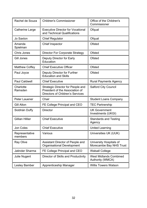| Rachel de Souza           | <b>Children's Commissioner</b>                                                                                         | Office of the Children's<br>Commissioner                 |
|---------------------------|------------------------------------------------------------------------------------------------------------------------|----------------------------------------------------------|
| <b>Catherine Large</b>    | <b>Executive Director for Vocational</b><br>and Technical Qualifications                                               | Ofqual                                                   |
| <b>Jo Saxton</b>          | <b>Chief Regulator</b>                                                                                                 | Ofqual                                                   |
| Amanda<br>Spielman        | <b>Chief Inspector</b>                                                                                                 | <b>Ofsted</b>                                            |
| <b>Chris Jones</b>        | <b>Director For Corporate Strategy</b>                                                                                 | <b>Ofsted</b>                                            |
| Gill Jones                | Deputy Director for Early<br>Education                                                                                 | <b>Ofsted</b>                                            |
| <b>Matthew Coffey</b>     | <b>Chief Executive Officer</b>                                                                                         | <b>Ofsted</b>                                            |
| Paul Joyce                | Deputy Director for Further<br><b>Education and Skills</b>                                                             | <b>Ofsted</b>                                            |
| <b>Paul Caldwell</b>      | <b>Chief Executive</b>                                                                                                 | <b>Rural Payments Agency</b>                             |
| Charlotte<br>Ramsden      | <b>Strategic Director for People and</b><br>President of the Association of<br><b>Directors of Children's Services</b> | <b>Salford City Council</b>                              |
| <b>Peter Lauener</b>      | Chair                                                                                                                  | <b>Student Loans Company</b>                             |
| <b>Gill Alton</b>         | FE College Principal and CEO                                                                                           | <b>TEC Partnership</b>                                   |
| Siobhán Duffy             | <b>Director</b>                                                                                                        | <b>UK Government</b><br>Investments (UKGI)               |
| <b>Gillian Hillier</b>    | <b>Chief Executive</b>                                                                                                 | <b>Standards and Testing</b><br>Agency                   |
| Jon Coles                 | <b>Chief Executive</b>                                                                                                 | <b>United Learning</b>                                   |
| Representative<br>members | Various                                                                                                                | Universities UK (UUK)                                    |
| <b>Ray Olive</b>          | Assistant Director of People and<br><b>Organisational Development</b>                                                  | University Hospitals of<br>Morecambe Bay NHS Trust       |
| <b>Jatinder Sharma</b>    | FE College Principal and CEO                                                                                           | <b>Walsall College</b>                                   |
| Julie Nugent              | Director of Skills and Productivity                                                                                    | <b>West Midlands Combined</b><br><b>Authority (WMCA)</b> |
| Lesley Bamber             | Apprenticeship Manager                                                                                                 | <b>Willis Towers Watson</b>                              |